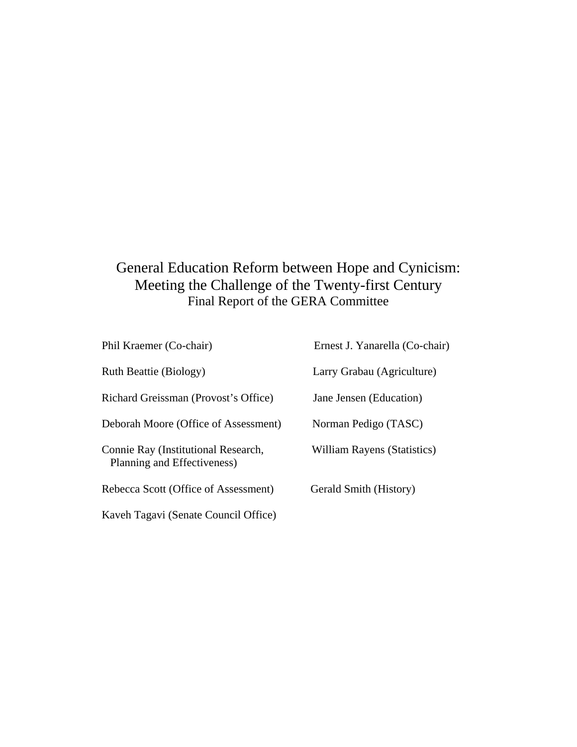# General Education Reform between Hope and Cynicism: Meeting the Challenge of the Twenty-first Century Final Report of the GERA Committee

| Phil Kraemer (Co-chair)                                            | Ernest J. Yanarella (Co-chair) |
|--------------------------------------------------------------------|--------------------------------|
| Ruth Beattie (Biology)                                             | Larry Grabau (Agriculture)     |
| Richard Greissman (Provost's Office)                               | Jane Jensen (Education)        |
| Deborah Moore (Office of Assessment)                               | Norman Pedigo (TASC)           |
| Connie Ray (Institutional Research,<br>Planning and Effectiveness) | William Rayens (Statistics)    |
| Rebecca Scott (Office of Assessment)                               | Gerald Smith (History)         |
| Kaveh Tagavi (Senate Council Office)                               |                                |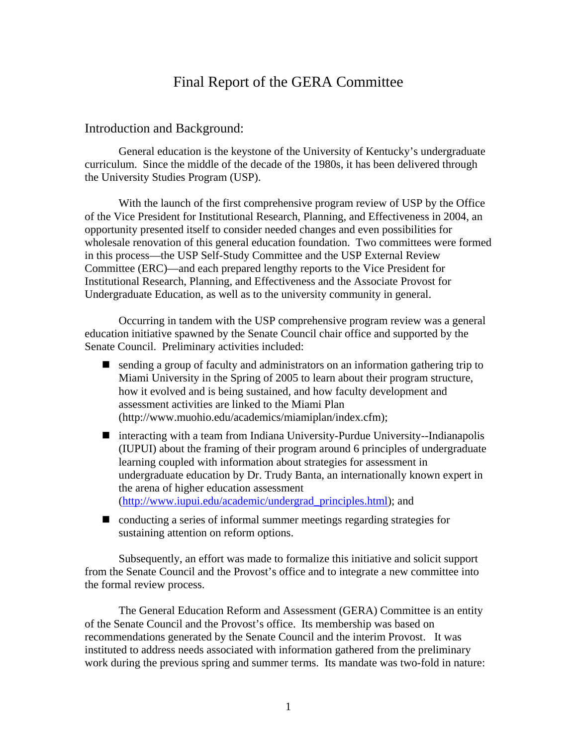# Final Report of the GERA Committee

#### Introduction and Background:

General education is the keystone of the University of Kentucky's undergraduate curriculum. Since the middle of the decade of the 1980s, it has been delivered through the University Studies Program (USP).

With the launch of the first comprehensive program review of USP by the Office of the Vice President for Institutional Research, Planning, and Effectiveness in 2004, an opportunity presented itself to consider needed changes and even possibilities for wholesale renovation of this general education foundation. Two committees were formed in this process—the USP Self-Study Committee and the USP External Review Committee (ERC)—and each prepared lengthy reports to the Vice President for Institutional Research, Planning, and Effectiveness and the Associate Provost for Undergraduate Education, as well as to the university community in general.

Occurring in tandem with the USP comprehensive program review was a general education initiative spawned by the Senate Council chair office and supported by the Senate Council. Preliminary activities included:

- sending a group of faculty and administrators on an information gathering trip to Miami University in the Spring of 2005 to learn about their program structure, how it evolved and is being sustained, and how faculty development and assessment activities are linked to the Miami Plan (http://www.muohio.edu/academics/miamiplan/index.cfm);
- interacting with a team from Indiana University-Purdue University--Indianapolis (IUPUI) about the framing of their program around 6 principles of undergraduate learning coupled with information about strategies for assessment in undergraduate education by Dr. Trudy Banta, an internationally known expert in the arena of higher education assessment (http://www.iupui.edu/academic/undergrad\_principles.html); and
- conducting a series of informal summer meetings regarding strategies for sustaining attention on reform options.

Subsequently, an effort was made to formalize this initiative and solicit support from the Senate Council and the Provost's office and to integrate a new committee into the formal review process.

The General Education Reform and Assessment (GERA) Committee is an entity of the Senate Council and the Provost's office. Its membership was based on recommendations generated by the Senate Council and the interim Provost. It was instituted to address needs associated with information gathered from the preliminary work during the previous spring and summer terms. Its mandate was two-fold in nature: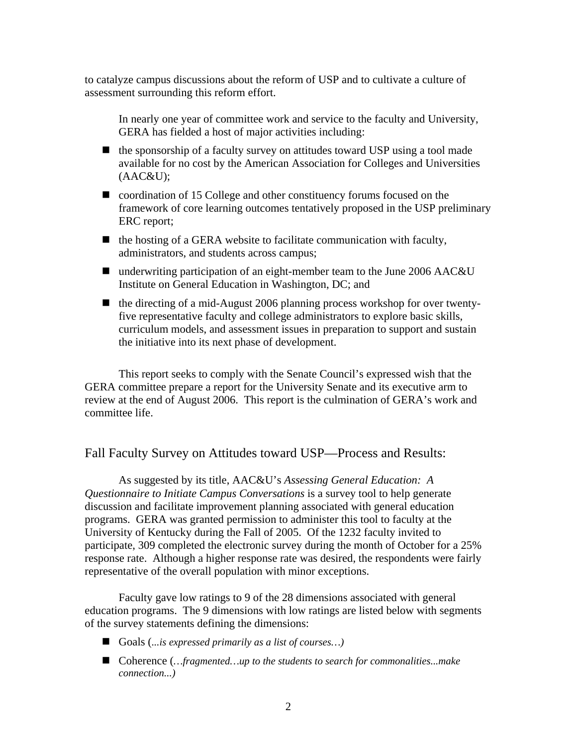to catalyze campus discussions about the reform of USP and to cultivate a culture of assessment surrounding this reform effort.

In nearly one year of committee work and service to the faculty and University, GERA has fielded a host of major activities including:

- $\blacksquare$  the sponsorship of a faculty survey on attitudes toward USP using a tool made available for no cost by the American Association for Colleges and Universities (AAC&U);
- coordination of 15 College and other constituency forums focused on the framework of core learning outcomes tentatively proposed in the USP preliminary ERC report;
- $\blacksquare$  the hosting of a GERA website to facilitate communication with faculty, administrators, and students across campus;
- underwriting participation of an eight-member team to the June 2006 AAC&U Institute on General Education in Washington, DC; and
- $\blacksquare$  the directing of a mid-August 2006 planning process workshop for over twentyfive representative faculty and college administrators to explore basic skills, curriculum models, and assessment issues in preparation to support and sustain the initiative into its next phase of development.

This report seeks to comply with the Senate Council's expressed wish that the GERA committee prepare a report for the University Senate and its executive arm to review at the end of August 2006. This report is the culmination of GERA's work and committee life.

### Fall Faculty Survey on Attitudes toward USP—Process and Results:

As suggested by its title, AAC&U's *Assessing General Education: A Questionnaire to Initiate Campus Conversations* is a survey tool to help generate discussion and facilitate improvement planning associated with general education programs. GERA was granted permission to administer this tool to faculty at the University of Kentucky during the Fall of 2005. Of the 1232 faculty invited to participate, 309 completed the electronic survey during the month of October for a 25% response rate. Although a higher response rate was desired, the respondents were fairly representative of the overall population with minor exceptions.

Faculty gave low ratings to 9 of the 28 dimensions associated with general education programs. The 9 dimensions with low ratings are listed below with segments of the survey statements defining the dimensions:

- Goals (*...is expressed primarily as a list of courses…)*
- Coherence (*…fragmented…up to the students to search for commonalities...make connection...)*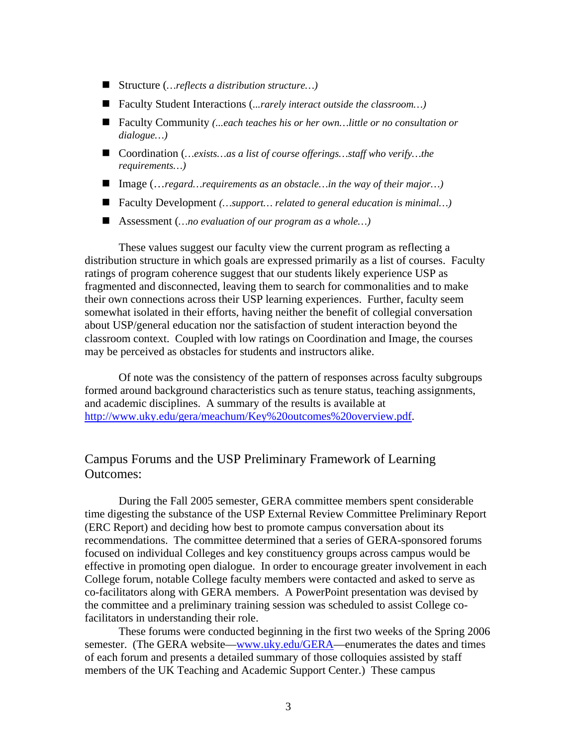- Structure (*…reflects a distribution structure…)*
- Faculty Student Interactions (*...rarely interact outside the classroom…)*
- Faculty Community *(...each teaches his or her own...little or no consultation or dialogue…)*
- Coordination (*…exists…as a list of course offerings…staff who verify…the requirements…)*
- Image (…*regard…requirements as an obstacle…in the way of their major…)*
- Faculty Development *(…support… related to general education is minimal…)*
- Assessment (*…no evaluation of our program as a whole…)*

These values suggest our faculty view the current program as reflecting a distribution structure in which goals are expressed primarily as a list of courses. Faculty ratings of program coherence suggest that our students likely experience USP as fragmented and disconnected, leaving them to search for commonalities and to make their own connections across their USP learning experiences. Further, faculty seem somewhat isolated in their efforts, having neither the benefit of collegial conversation about USP/general education nor the satisfaction of student interaction beyond the classroom context. Coupled with low ratings on Coordination and Image, the courses may be perceived as obstacles for students and instructors alike.

Of note was the consistency of the pattern of responses across faculty subgroups formed around background characteristics such as tenure status, teaching assignments, and academic disciplines. A summary of the results is available at http://www.uky.edu/gera/meachum/Key%20outcomes%20overview.pdf.

## Campus Forums and the USP Preliminary Framework of Learning Outcomes:

During the Fall 2005 semester, GERA committee members spent considerable time digesting the substance of the USP External Review Committee Preliminary Report (ERC Report) and deciding how best to promote campus conversation about its recommendations. The committee determined that a series of GERA-sponsored forums focused on individual Colleges and key constituency groups across campus would be effective in promoting open dialogue. In order to encourage greater involvement in each College forum, notable College faculty members were contacted and asked to serve as co-facilitators along with GERA members. A PowerPoint presentation was devised by the committee and a preliminary training session was scheduled to assist College cofacilitators in understanding their role.

These forums were conducted beginning in the first two weeks of the Spring 2006 semester. (The GERA website—www.uky.edu/GERA—enumerates the dates and times of each forum and presents a detailed summary of those colloquies assisted by staff members of the UK Teaching and Academic Support Center.) These campus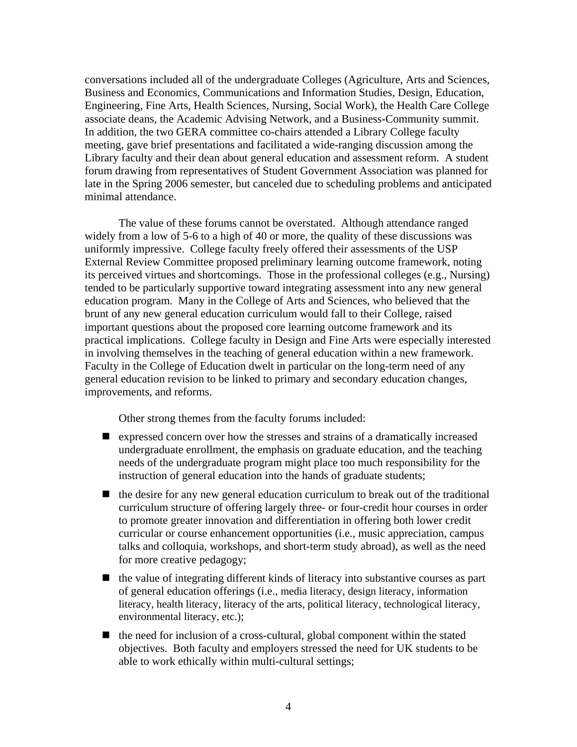conversations included all of the undergraduate Colleges (Agriculture, Arts and Sciences, Business and Economics, Communications and Information Studies, Design, Education, Engineering, Fine Arts, Health Sciences, Nursing, Social Work), the Health Care College associate deans, the Academic Advising Network, and a Business-Community summit. In addition, the two GERA committee co-chairs attended a Library College faculty meeting, gave brief presentations and facilitated a wide-ranging discussion among the Library faculty and their dean about general education and assessment reform. A student forum drawing from representatives of Student Government Association was planned for late in the Spring 2006 semester, but canceled due to scheduling problems and anticipated minimal attendance.

The value of these forums cannot be overstated. Although attendance ranged widely from a low of 5-6 to a high of 40 or more, the quality of these discussions was uniformly impressive. College faculty freely offered their assessments of the USP External Review Committee proposed preliminary learning outcome framework, noting its perceived virtues and shortcomings. Those in the professional colleges (e.g., Nursing) tended to be particularly supportive toward integrating assessment into any new general education program. Many in the College of Arts and Sciences, who believed that the brunt of any new general education curriculum would fall to their College, raised important questions about the proposed core learning outcome framework and its practical implications. College faculty in Design and Fine Arts were especially interested in involving themselves in the teaching of general education within a new framework. Faculty in the College of Education dwelt in particular on the long-term need of any general education revision to be linked to primary and secondary education changes, improvements, and reforms.

Other strong themes from the faculty forums included:

- expressed concern over how the stresses and strains of a dramatically increased undergraduate enrollment, the emphasis on graduate education, and the teaching needs of the undergraduate program might place too much responsibility for the instruction of general education into the hands of graduate students;
- $\blacksquare$  the desire for any new general education curriculum to break out of the traditional curriculum structure of offering largely three- or four-credit hour courses in order to promote greater innovation and differentiation in offering both lower credit curricular or course enhancement opportunities (i.e., music appreciation, campus talks and colloquia, workshops, and short-term study abroad), as well as the need for more creative pedagogy;
- $\blacksquare$  the value of integrating different kinds of literacy into substantive courses as part of general education offerings (i.e., media literacy, design literacy, information literacy, health literacy, literacy of the arts, political literacy, technological literacy, environmental literacy, etc.);
- $\blacksquare$  the need for inclusion of a cross-cultural, global component within the stated objectives. Both faculty and employers stressed the need for UK students to be able to work ethically within multi-cultural settings;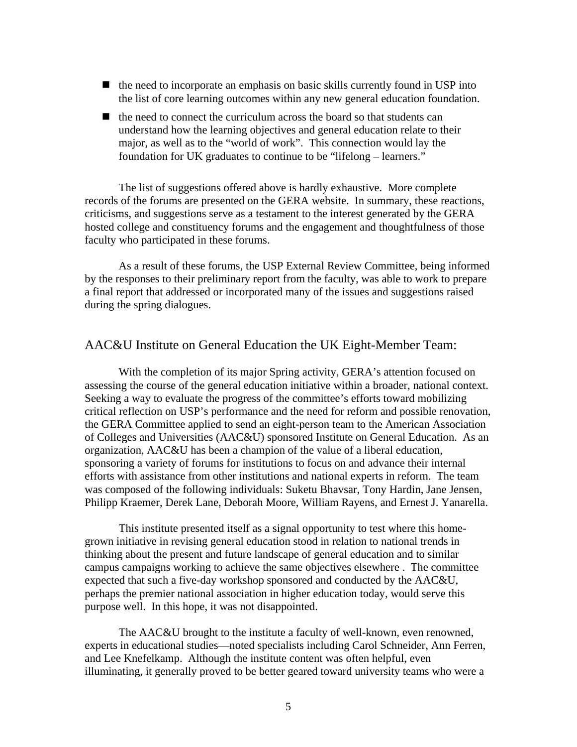- $\blacksquare$  the need to incorporate an emphasis on basic skills currently found in USP into the list of core learning outcomes within any new general education foundation.
- $\blacksquare$  the need to connect the curriculum across the board so that students can understand how the learning objectives and general education relate to their major, as well as to the "world of work". This connection would lay the foundation for UK graduates to continue to be "lifelong – learners."

The list of suggestions offered above is hardly exhaustive. More complete records of the forums are presented on the GERA website. In summary, these reactions, criticisms, and suggestions serve as a testament to the interest generated by the GERA hosted college and constituency forums and the engagement and thoughtfulness of those faculty who participated in these forums.

As a result of these forums, the USP External Review Committee, being informed by the responses to their preliminary report from the faculty, was able to work to prepare a final report that addressed or incorporated many of the issues and suggestions raised during the spring dialogues.

#### AAC&U Institute on General Education the UK Eight-Member Team:

 With the completion of its major Spring activity, GERA's attention focused on assessing the course of the general education initiative within a broader, national context. Seeking a way to evaluate the progress of the committee's efforts toward mobilizing critical reflection on USP's performance and the need for reform and possible renovation, the GERA Committee applied to send an eight-person team to the American Association of Colleges and Universities (AAC&U) sponsored Institute on General Education. As an organization, AAC&U has been a champion of the value of a liberal education, sponsoring a variety of forums for institutions to focus on and advance their internal efforts with assistance from other institutions and national experts in reform. The team was composed of the following individuals: Suketu Bhavsar, Tony Hardin, Jane Jensen, Philipp Kraemer, Derek Lane, Deborah Moore, William Rayens, and Ernest J. Yanarella.

 This institute presented itself as a signal opportunity to test where this homegrown initiative in revising general education stood in relation to national trends in thinking about the present and future landscape of general education and to similar campus campaigns working to achieve the same objectives elsewhere . The committee expected that such a five-day workshop sponsored and conducted by the AAC&U, perhaps the premier national association in higher education today, would serve this purpose well. In this hope, it was not disappointed.

 The AAC&U brought to the institute a faculty of well-known, even renowned, experts in educational studies—noted specialists including Carol Schneider, Ann Ferren, and Lee Knefelkamp. Although the institute content was often helpful, even illuminating, it generally proved to be better geared toward university teams who were a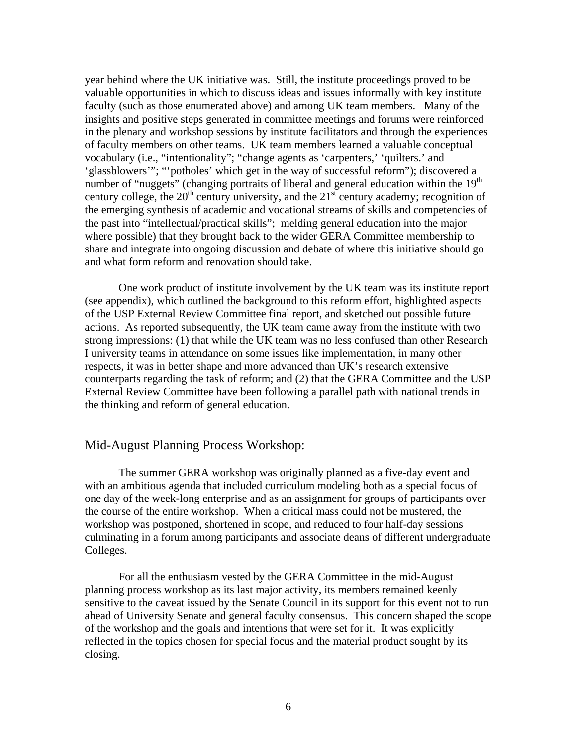year behind where the UK initiative was. Still, the institute proceedings proved to be valuable opportunities in which to discuss ideas and issues informally with key institute faculty (such as those enumerated above) and among UK team members. Many of the insights and positive steps generated in committee meetings and forums were reinforced in the plenary and workshop sessions by institute facilitators and through the experiences of faculty members on other teams. UK team members learned a valuable conceptual vocabulary (i.e., "intentionality"; "change agents as 'carpenters,' 'quilters.' and 'glassblowers'"; "'potholes' which get in the way of successful reform"); discovered a number of "nuggets" (changing portraits of liberal and general education within the  $19<sup>th</sup>$ century college, the  $20<sup>th</sup>$  century university, and the  $21<sup>st</sup>$  century academy; recognition of the emerging synthesis of academic and vocational streams of skills and competencies of the past into "intellectual/practical skills"; melding general education into the major where possible) that they brought back to the wider GERA Committee membership to share and integrate into ongoing discussion and debate of where this initiative should go and what form reform and renovation should take.

 One work product of institute involvement by the UK team was its institute report (see appendix), which outlined the background to this reform effort, highlighted aspects of the USP External Review Committee final report, and sketched out possible future actions. As reported subsequently, the UK team came away from the institute with two strong impressions: (1) that while the UK team was no less confused than other Research I university teams in attendance on some issues like implementation, in many other respects, it was in better shape and more advanced than UK's research extensive counterparts regarding the task of reform; and (2) that the GERA Committee and the USP External Review Committee have been following a parallel path with national trends in the thinking and reform of general education.

### Mid-August Planning Process Workshop:

 The summer GERA workshop was originally planned as a five-day event and with an ambitious agenda that included curriculum modeling both as a special focus of one day of the week-long enterprise and as an assignment for groups of participants over the course of the entire workshop. When a critical mass could not be mustered, the workshop was postponed, shortened in scope, and reduced to four half-day sessions culminating in a forum among participants and associate deans of different undergraduate Colleges.

 For all the enthusiasm vested by the GERA Committee in the mid-August planning process workshop as its last major activity, its members remained keenly sensitive to the caveat issued by the Senate Council in its support for this event not to run ahead of University Senate and general faculty consensus. This concern shaped the scope of the workshop and the goals and intentions that were set for it. It was explicitly reflected in the topics chosen for special focus and the material product sought by its closing.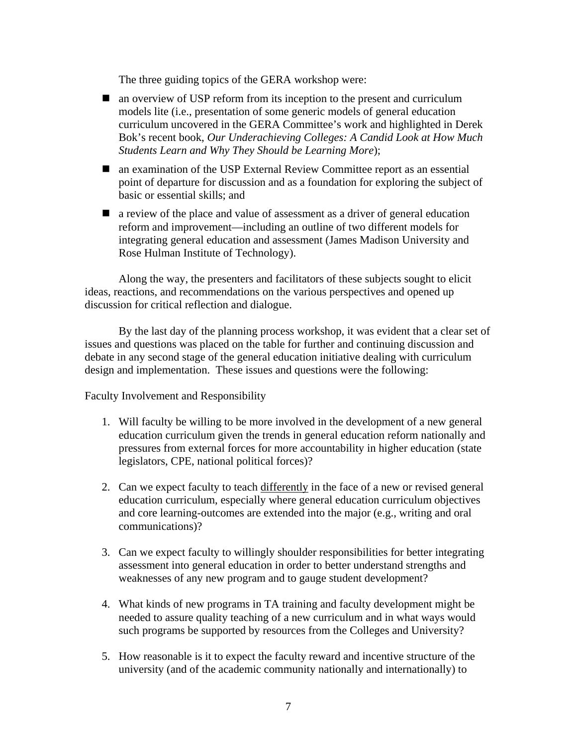The three guiding topics of the GERA workshop were:

- an overview of USP reform from its inception to the present and curriculum models lite (i.e., presentation of some generic models of general education curriculum uncovered in the GERA Committee's work and highlighted in Derek Bok's recent book, *Our Underachieving Colleges: A Candid Look at How Much Students Learn and Why They Should be Learning More*);
- an examination of the USP External Review Committee report as an essential point of departure for discussion and as a foundation for exploring the subject of basic or essential skills; and
- **a** a review of the place and value of assessment as a driver of general education reform and improvement—including an outline of two different models for integrating general education and assessment (James Madison University and Rose Hulman Institute of Technology).

Along the way, the presenters and facilitators of these subjects sought to elicit ideas, reactions, and recommendations on the various perspectives and opened up discussion for critical reflection and dialogue.

By the last day of the planning process workshop, it was evident that a clear set of issues and questions was placed on the table for further and continuing discussion and debate in any second stage of the general education initiative dealing with curriculum design and implementation. These issues and questions were the following:

Faculty Involvement and Responsibility

- 1. Will faculty be willing to be more involved in the development of a new general education curriculum given the trends in general education reform nationally and pressures from external forces for more accountability in higher education (state legislators, CPE, national political forces)?
- 2. Can we expect faculty to teach differently in the face of a new or revised general education curriculum, especially where general education curriculum objectives and core learning-outcomes are extended into the major (e.g., writing and oral communications)?
- 3. Can we expect faculty to willingly shoulder responsibilities for better integrating assessment into general education in order to better understand strengths and weaknesses of any new program and to gauge student development?
- 4. What kinds of new programs in TA training and faculty development might be needed to assure quality teaching of a new curriculum and in what ways would such programs be supported by resources from the Colleges and University?
- 5. How reasonable is it to expect the faculty reward and incentive structure of the university (and of the academic community nationally and internationally) to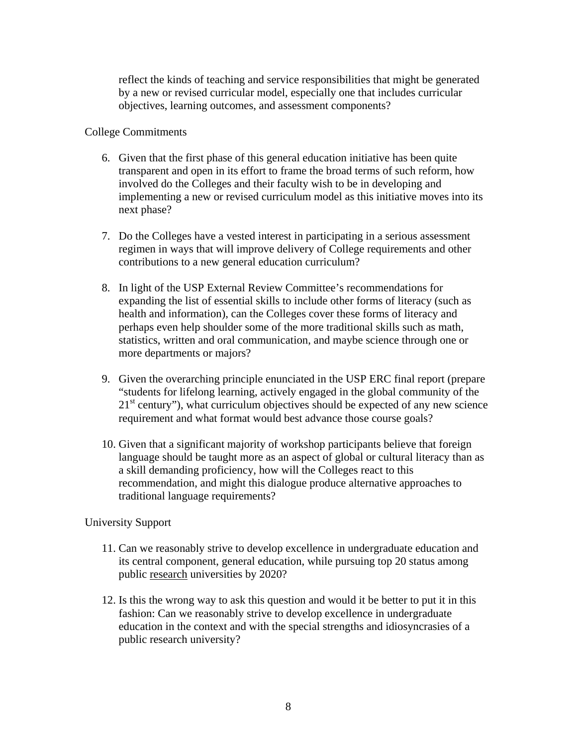reflect the kinds of teaching and service responsibilities that might be generated by a new or revised curricular model, especially one that includes curricular objectives, learning outcomes, and assessment components?

### College Commitments

- 6. Given that the first phase of this general education initiative has been quite transparent and open in its effort to frame the broad terms of such reform, how involved do the Colleges and their faculty wish to be in developing and implementing a new or revised curriculum model as this initiative moves into its next phase?
- 7. Do the Colleges have a vested interest in participating in a serious assessment regimen in ways that will improve delivery of College requirements and other contributions to a new general education curriculum?
- 8. In light of the USP External Review Committee's recommendations for expanding the list of essential skills to include other forms of literacy (such as health and information), can the Colleges cover these forms of literacy and perhaps even help shoulder some of the more traditional skills such as math, statistics, written and oral communication, and maybe science through one or more departments or majors?
- 9. Given the overarching principle enunciated in the USP ERC final report (prepare "students for lifelong learning, actively engaged in the global community of the  $21<sup>st</sup>$  century"), what curriculum objectives should be expected of any new science requirement and what format would best advance those course goals?
- 10. Given that a significant majority of workshop participants believe that foreign language should be taught more as an aspect of global or cultural literacy than as a skill demanding proficiency, how will the Colleges react to this recommendation, and might this dialogue produce alternative approaches to traditional language requirements?

### University Support

- 11. Can we reasonably strive to develop excellence in undergraduate education and its central component, general education, while pursuing top 20 status among public research universities by 2020?
- 12. Is this the wrong way to ask this question and would it be better to put it in this fashion: Can we reasonably strive to develop excellence in undergraduate education in the context and with the special strengths and idiosyncrasies of a public research university?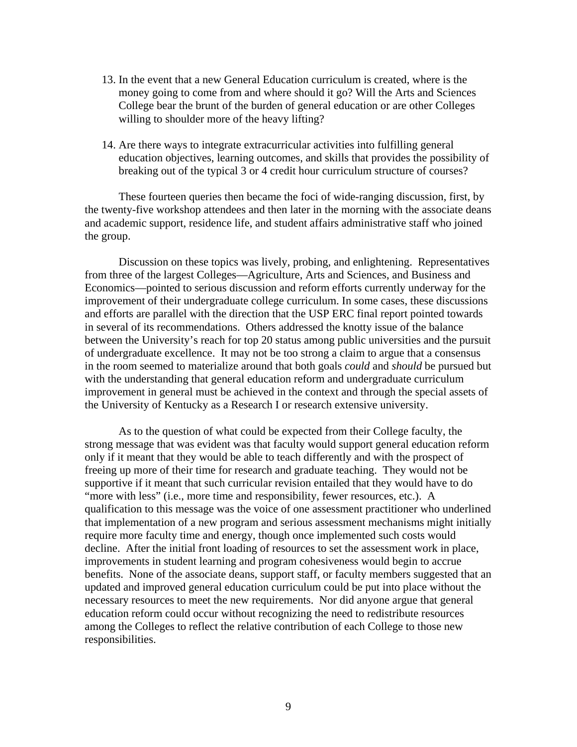- 13. In the event that a new General Education curriculum is created, where is the money going to come from and where should it go? Will the Arts and Sciences College bear the brunt of the burden of general education or are other Colleges willing to shoulder more of the heavy lifting?
- 14. Are there ways to integrate extracurricular activities into fulfilling general education objectives, learning outcomes, and skills that provides the possibility of breaking out of the typical 3 or 4 credit hour curriculum structure of courses?

 These fourteen queries then became the foci of wide-ranging discussion, first, by the twenty-five workshop attendees and then later in the morning with the associate deans and academic support, residence life, and student affairs administrative staff who joined the group.

 Discussion on these topics was lively, probing, and enlightening. Representatives from three of the largest Colleges—Agriculture, Arts and Sciences, and Business and Economics—pointed to serious discussion and reform efforts currently underway for the improvement of their undergraduate college curriculum. In some cases, these discussions and efforts are parallel with the direction that the USP ERC final report pointed towards in several of its recommendations. Others addressed the knotty issue of the balance between the University's reach for top 20 status among public universities and the pursuit of undergraduate excellence. It may not be too strong a claim to argue that a consensus in the room seemed to materialize around that both goals *could* and *should* be pursued but with the understanding that general education reform and undergraduate curriculum improvement in general must be achieved in the context and through the special assets of the University of Kentucky as a Research I or research extensive university.

As to the question of what could be expected from their College faculty, the strong message that was evident was that faculty would support general education reform only if it meant that they would be able to teach differently and with the prospect of freeing up more of their time for research and graduate teaching. They would not be supportive if it meant that such curricular revision entailed that they would have to do "more with less" (i.e., more time and responsibility, fewer resources, etc.). A qualification to this message was the voice of one assessment practitioner who underlined that implementation of a new program and serious assessment mechanisms might initially require more faculty time and energy, though once implemented such costs would decline. After the initial front loading of resources to set the assessment work in place, improvements in student learning and program cohesiveness would begin to accrue benefits. None of the associate deans, support staff, or faculty members suggested that an updated and improved general education curriculum could be put into place without the necessary resources to meet the new requirements. Nor did anyone argue that general education reform could occur without recognizing the need to redistribute resources among the Colleges to reflect the relative contribution of each College to those new responsibilities.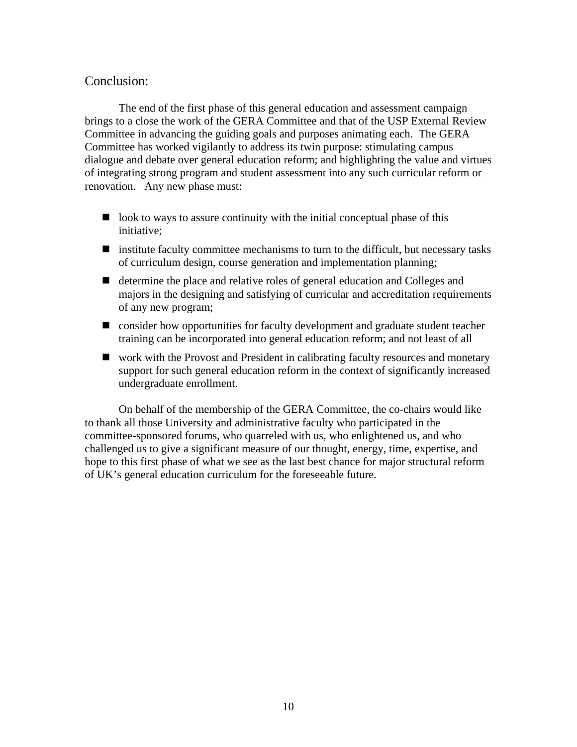## Conclusion:

 The end of the first phase of this general education and assessment campaign brings to a close the work of the GERA Committee and that of the USP External Review Committee in advancing the guiding goals and purposes animating each. The GERA Committee has worked vigilantly to address its twin purpose: stimulating campus dialogue and debate over general education reform; and highlighting the value and virtues of integrating strong program and student assessment into any such curricular reform or renovation. Any new phase must:

- $\Box$  look to ways to assure continuity with the initial conceptual phase of this initiative;
- institute faculty committee mechanisms to turn to the difficult, but necessary tasks of curriculum design, course generation and implementation planning;
- determine the place and relative roles of general education and Colleges and majors in the designing and satisfying of curricular and accreditation requirements of any new program;
- $\blacksquare$  consider how opportunities for faculty development and graduate student teacher training can be incorporated into general education reform; and not least of all
- work with the Provost and President in calibrating faculty resources and monetary support for such general education reform in the context of significantly increased undergraduate enrollment.

 On behalf of the membership of the GERA Committee, the co-chairs would like to thank all those University and administrative faculty who participated in the committee-sponsored forums, who quarreled with us, who enlightened us, and who challenged us to give a significant measure of our thought, energy, time, expertise, and hope to this first phase of what we see as the last best chance for major structural reform of UK's general education curriculum for the foreseeable future.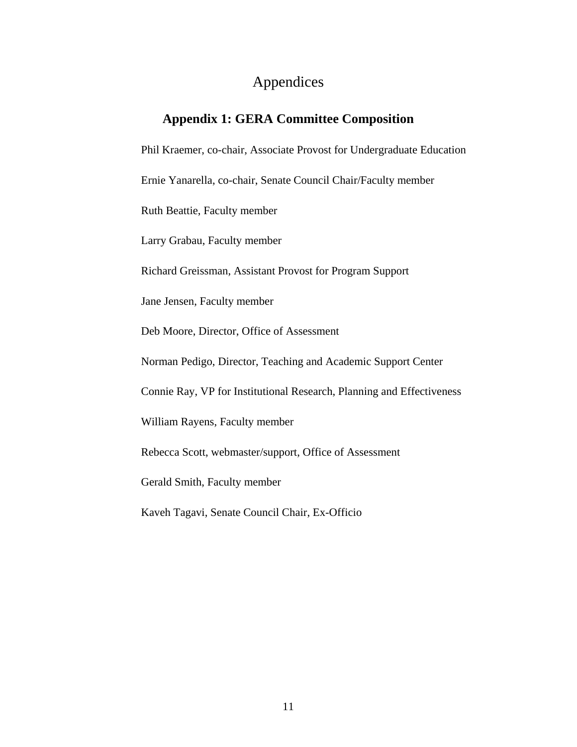# Appendices

# **Appendix 1: GERA Committee Composition**

Phil Kraemer, co-chair, Associate Provost for Undergraduate Education

Ernie Yanarella, co-chair, Senate Council Chair/Faculty member

Ruth Beattie, Faculty member

Larry Grabau, Faculty member

Richard Greissman, Assistant Provost for Program Support

Jane Jensen, Faculty member

Deb Moore, Director, Office of Assessment

Norman Pedigo, Director, Teaching and Academic Support Center

Connie Ray, VP for Institutional Research, Planning and Effectiveness

William Rayens, Faculty member

Rebecca Scott, webmaster/support, Office of Assessment

Gerald Smith, Faculty member

Kaveh Tagavi, Senate Council Chair, Ex-Officio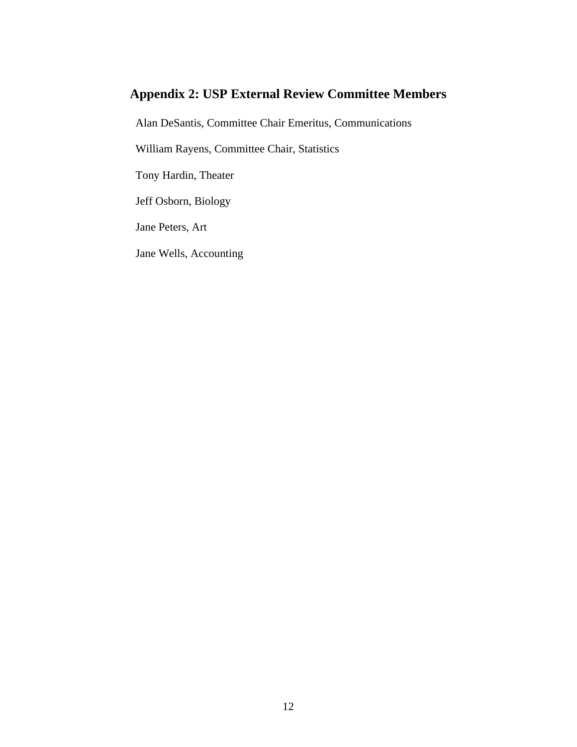# **Appendix 2: USP External Review Committee Members**

Alan DeSantis, Committee Chair Emeritus, Communications

William Rayens, Committee Chair, Statistics

Tony Hardin, Theater

Jeff Osborn, Biology

Jane Peters, Art

Jane Wells, Accounting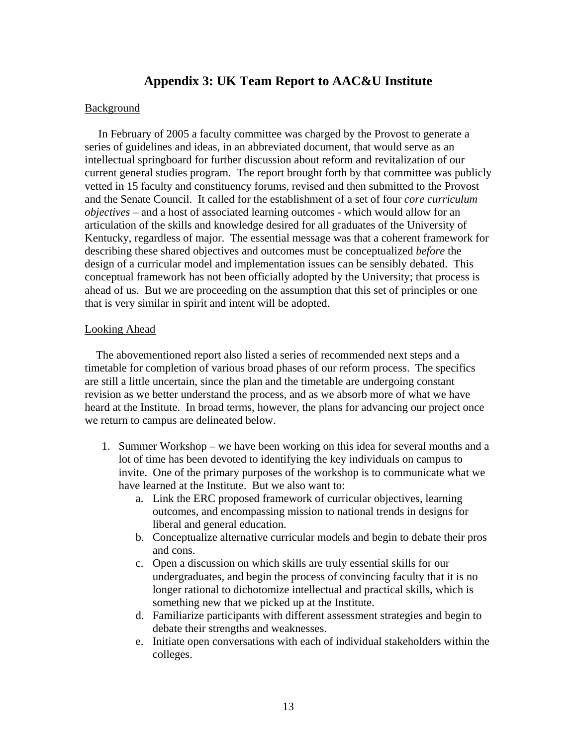# **Appendix 3: UK Team Report to AAC&U Institute**

#### **Background**

In February of 2005 a faculty committee was charged by the Provost to generate a series of guidelines and ideas, in an abbreviated document, that would serve as an intellectual springboard for further discussion about reform and revitalization of our current general studies program. The report brought forth by that committee was publicly vetted in 15 faculty and constituency forums, revised and then submitted to the Provost and the Senate Council. It called for the establishment of a set of four *core curriculum objectives* – and a host of associated learning outcomes - which would allow for an articulation of the skills and knowledge desired for all graduates of the University of Kentucky, regardless of major. The essential message was that a coherent framework for describing these shared objectives and outcomes must be conceptualized *before* the design of a curricular model and implementation issues can be sensibly debated. This conceptual framework has not been officially adopted by the University; that process is ahead of us. But we are proceeding on the assumption that this set of principles or one that is very similar in spirit and intent will be adopted.

#### Looking Ahead

 The abovementioned report also listed a series of recommended next steps and a timetable for completion of various broad phases of our reform process. The specifics are still a little uncertain, since the plan and the timetable are undergoing constant revision as we better understand the process, and as we absorb more of what we have heard at the Institute. In broad terms, however, the plans for advancing our project once we return to campus are delineated below.

- 1. Summer Workshop we have been working on this idea for several months and a lot of time has been devoted to identifying the key individuals on campus to invite. One of the primary purposes of the workshop is to communicate what we have learned at the Institute. But we also want to:
	- a. Link the ERC proposed framework of curricular objectives, learning outcomes, and encompassing mission to national trends in designs for liberal and general education.
	- b. Conceptualize alternative curricular models and begin to debate their pros and cons.
	- c. Open a discussion on which skills are truly essential skills for our undergraduates, and begin the process of convincing faculty that it is no longer rational to dichotomize intellectual and practical skills, which is something new that we picked up at the Institute.
	- d. Familiarize participants with different assessment strategies and begin to debate their strengths and weaknesses.
	- e. Initiate open conversations with each of individual stakeholders within the colleges.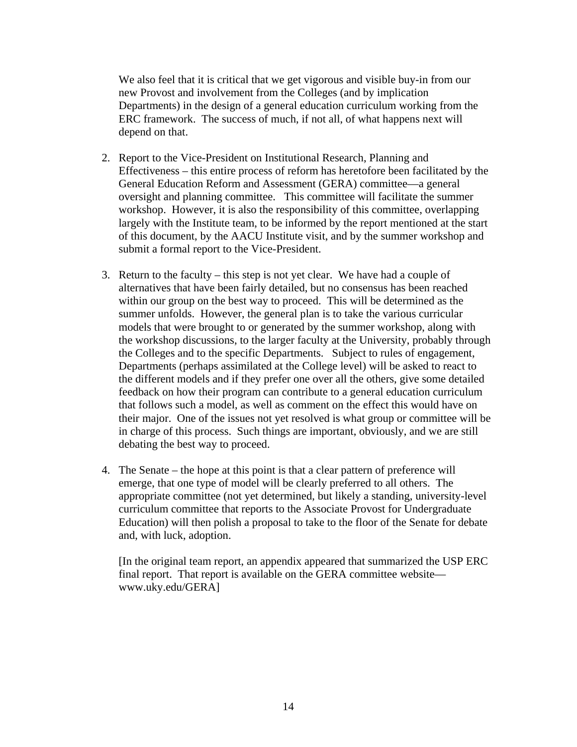We also feel that it is critical that we get vigorous and visible buy-in from our new Provost and involvement from the Colleges (and by implication Departments) in the design of a general education curriculum working from the ERC framework. The success of much, if not all, of what happens next will depend on that.

- 2. Report to the Vice-President on Institutional Research, Planning and Effectiveness – this entire process of reform has heretofore been facilitated by the General Education Reform and Assessment (GERA) committee—a general oversight and planning committee. This committee will facilitate the summer workshop. However, it is also the responsibility of this committee, overlapping largely with the Institute team, to be informed by the report mentioned at the start of this document, by the AACU Institute visit, and by the summer workshop and submit a formal report to the Vice-President.
- 3. Return to the faculty this step is not yet clear. We have had a couple of alternatives that have been fairly detailed, but no consensus has been reached within our group on the best way to proceed. This will be determined as the summer unfolds. However, the general plan is to take the various curricular models that were brought to or generated by the summer workshop, along with the workshop discussions, to the larger faculty at the University, probably through the Colleges and to the specific Departments. Subject to rules of engagement, Departments (perhaps assimilated at the College level) will be asked to react to the different models and if they prefer one over all the others, give some detailed feedback on how their program can contribute to a general education curriculum that follows such a model, as well as comment on the effect this would have on their major. One of the issues not yet resolved is what group or committee will be in charge of this process. Such things are important, obviously, and we are still debating the best way to proceed.
- 4. The Senate the hope at this point is that a clear pattern of preference will emerge, that one type of model will be clearly preferred to all others. The appropriate committee (not yet determined, but likely a standing, university-level curriculum committee that reports to the Associate Provost for Undergraduate Education) will then polish a proposal to take to the floor of the Senate for debate and, with luck, adoption.

[In the original team report, an appendix appeared that summarized the USP ERC final report. That report is available on the GERA committee website www.uky.edu/GERA]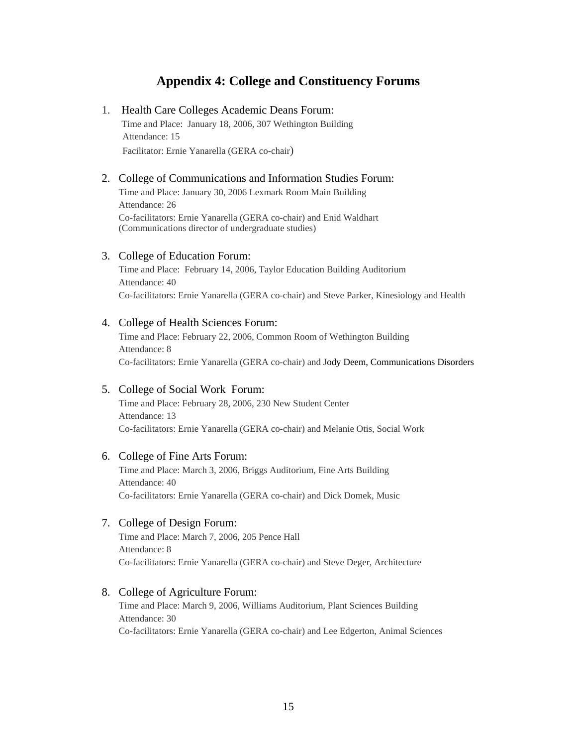# **Appendix 4: College and Constituency Forums**

#### 1. Health Care Colleges Academic Deans Forum:

 Time and Place: January 18, 2006, 307 Wethington Building Attendance: 15 Facilitator: Ernie Yanarella (GERA co-chair)

#### 2. College of Communications and Information Studies Forum:

Time and Place: January 30, 2006 Lexmark Room Main Building Attendance: 26 Co-facilitators: Ernie Yanarella (GERA co-chair) and Enid Waldhart (Communications director of undergraduate studies)

#### 3. College of Education Forum:

Time and Place: February 14, 2006, Taylor Education Building Auditorium Attendance: 40 Co-facilitators: Ernie Yanarella (GERA co-chair) and Steve Parker, Kinesiology and Health

#### 4. College of Health Sciences Forum:

Time and Place: February 22, 2006, Common Room of Wethington Building Attendance: 8 Co-facilitators: Ernie Yanarella (GERA co-chair) and Jody Deem, Communications Disorders

#### 5. College of Social Work Forum:

Time and Place: February 28, 2006, 230 New Student Center Attendance: 13 Co-facilitators: Ernie Yanarella (GERA co-chair) and Melanie Otis, Social Work

#### 6. College of Fine Arts Forum:

Time and Place: March 3, 2006, Briggs Auditorium, Fine Arts Building Attendance: 40 Co-facilitators: Ernie Yanarella (GERA co-chair) and Dick Domek, Music

#### 7. College of Design Forum:

Time and Place: March 7, 2006, 205 Pence Hall Attendance: 8 Co-facilitators: Ernie Yanarella (GERA co-chair) and Steve Deger, Architecture

#### 8. College of Agriculture Forum:

Time and Place: March 9, 2006, Williams Auditorium, Plant Sciences Building Attendance: 30 Co-facilitators: Ernie Yanarella (GERA co-chair) and Lee Edgerton, Animal Sciences